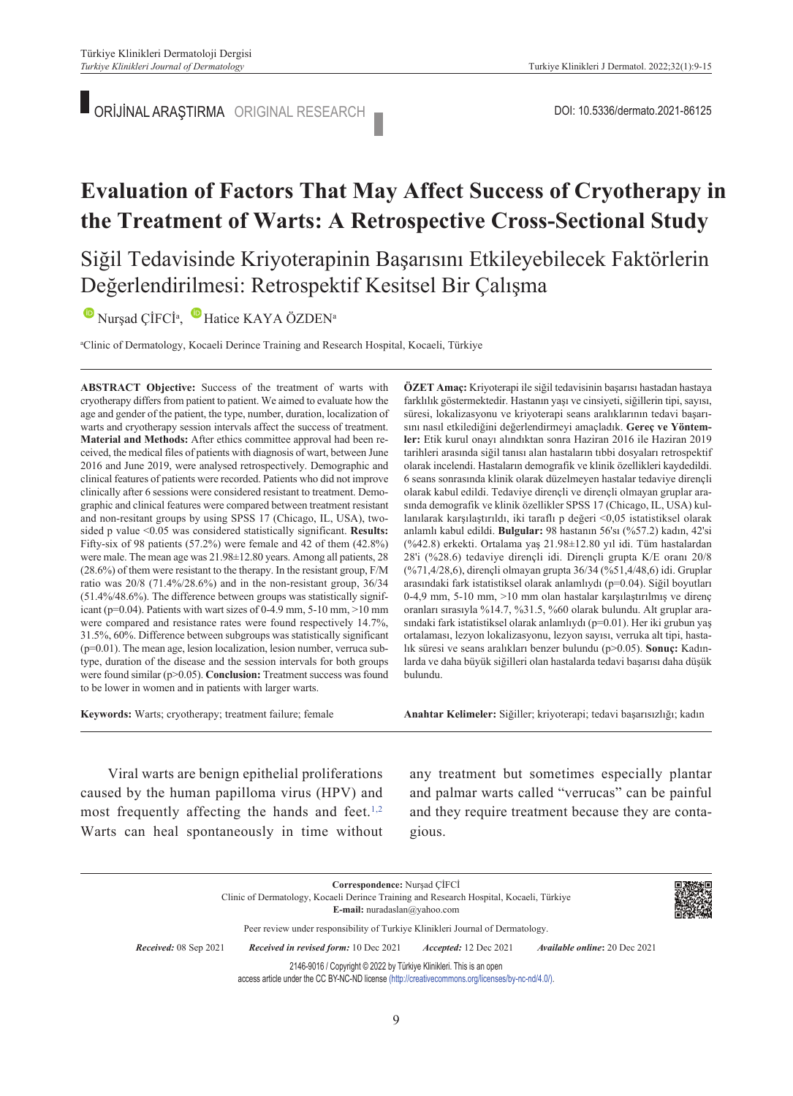ORİJİNAL ARAŞTIRMA ORIGINAL RESEARCH DOI: 10.5336/dermato.2021-86125

# **Evaluation of Factors That May Affect Success of Cryotherapy in the Treatment of Warts: A Retrospective Cross-Sectional Study**

Siğil Tedavisinde Kriyoterapinin Başarısını Etkileyebilecek Faktörlerin Değerlendirilmesi: Retrospektif Kesitsel Bir Çalışma

NurşadÇİFCİ<sup>a</sup>, Hatice KAYA ÖZDEN<sup>a</sup>

a Clinic of Dermatology, Kocaeli Derince Training and Research Hospital, Kocaeli, Türkiye

**ABS TRACT Objective:** Success of the treatment of warts with cryotherapy differs from patient to patient. We aimed to evaluate how the age and gender of the patient, the type, number, duration, localization of warts and cryotherapy session intervals affect the success of treatment. **Material and Methods:** After ethics committee approval had been received, the medical files of patients with diagnosis of wart, between June 2016 and June 2019, were analysed retrospectively. Demographic and clinical features of patients were recorded. Patients who did not improve clinically after 6 sessions were considered resistant to treatment. Demographic and clinical features were compared between treatment resistant and non-resitant groups by using SPSS 17 (Chicago, IL, USA), twosided p value <0.05 was considered statistically significant. **Results:** Fifty-six of 98 patients (57.2%) were female and 42 of them (42.8%) were male. The mean age was 21.98±12.80 years. Among all patients, 28 (28.6%) of them were resistant to the therapy. In the resistant group, F/M ratio was 20/8 (71.4%/28.6%) and in the non-resistant group, 36/34 (51.4%/48.6%). The difference between groups was statistically significant ( $p=0.04$ ). Patients with wart sizes of 0-4.9 mm, 5-10 mm, >10 mm were compared and resistance rates were found respectively 14.7%, 31.5%, 60%. Difference between subgroups was statistically significant (p=0.01). The mean age, lesion localization, lesion number, verruca subtype, duration of the disease and the session intervals for both groups were found similar (p>0.05). **Conclusion:** Treatment success was found to be lower in women and in patients with larger warts.

**ÖZET Amaç:** Kriyoterapi ile siğil tedavisinin başarısı hastadan hastaya farklılık göstermektedir. Hastanın yaşı ve cinsiyeti, siğillerin tipi, sayısı, süresi, lokalizasyonu ve kriyoterapi seans aralıklarının tedavi başarısını nasıl etkilediğini değerlendirmeyi amaçladık. **Gereç ve Yöntemler:** Etik kurul onayı alındıktan sonra Haziran 2016 ile Haziran 2019 tarihleri arasında siğil tanısı alan hastaların tıbbi dosyaları retrospektif olarak incelendi. Hastaların demografik ve klinik özellikleri kaydedildi. 6 seans sonrasında klinik olarak düzelmeyen hastalar tedaviye dirençli olarak kabul edildi. Tedaviye dirençli ve dirençli olmayan gruplar arasında demografik ve klinik özellikler SPSS 17 (Chicago, IL, USA) kullanılarak karşılaştırıldı, iki taraflı p değeri <0,05 istatistiksel olarak anlamlı kabul edildi. **Bulgular:** 98 hastanın 56'sı (%57.2) kadın, 42'si (%42.8) erkekti. Ortalama yaş 21.98±12.80 yıl idi. Tüm hastalardan 28'i (%28.6) tedaviye dirençli idi. Dirençli grupta K/E oranı 20/8 (%71,4/28,6), dirençli olmayan grupta 36/34 (%51,4/48,6) idi. Gruplar arasındaki fark istatistiksel olarak anlamlıydı (p=0.04). Siğil boyutları 0-4,9 mm, 5-10 mm, >10 mm olan hastalar karşılaştırılmış ve direnç oranları sırasıyla %14.7, %31.5, %60 olarak bulundu. Alt gruplar arasındaki fark istatistiksel olarak anlamlıydı (p=0.01). Her iki grubun yaş ortalaması, lezyon lokalizasyonu, lezyon sayısı, verruka alt tipi, hastalık süresi ve seans aralıkları benzer bulundu (p>0.05). **Sonuç:** Kadınlarda ve daha büyük siğilleri olan hastalarda tedavi başarısı daha düşük bulundu.

**Keywords:** Warts; cryotherapy; treatment failure; female

**Anah tar Ke li me ler:** Siğiller; kriyoterapi; tedavi başarısızlığı; kadın

Viral warts are benign epithelial proliferations caused by the human papilloma virus (HPV) and most frequently affecting the hands and feet. $1,2$ Warts can heal spontaneously in time without any treatment but sometimes especially plantar and palmar warts called "verrucas" can be painful and they require treatment because they are contagious.

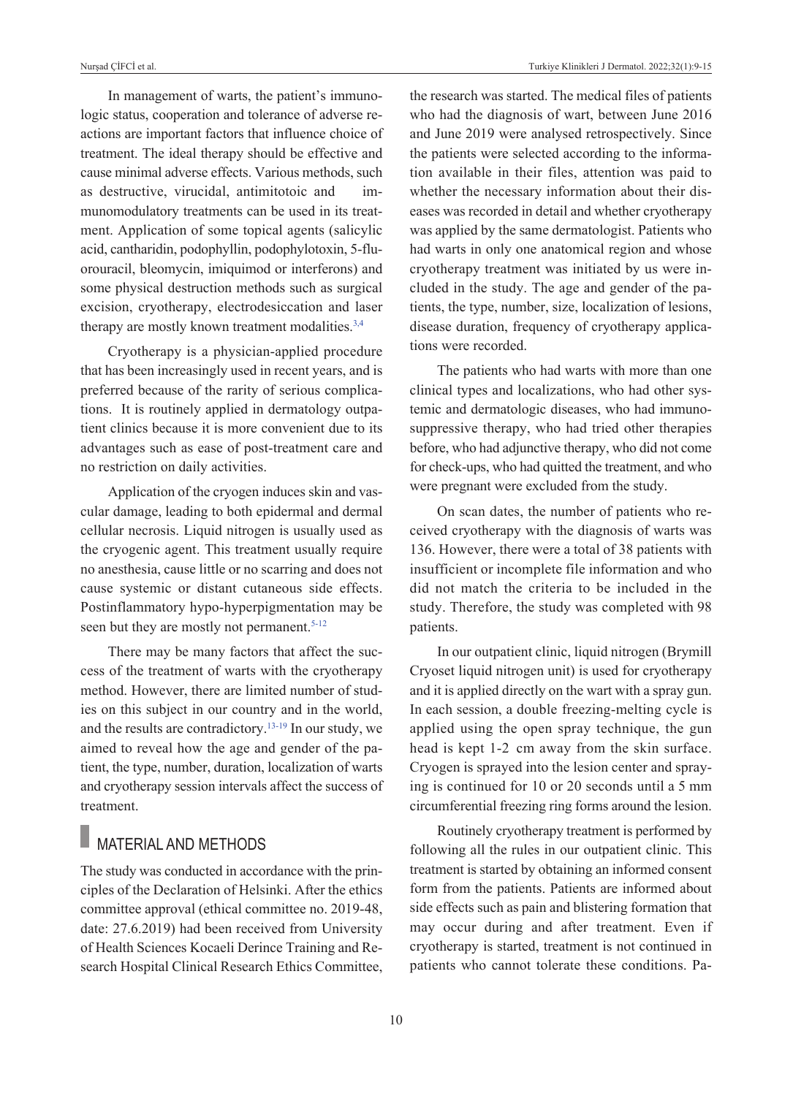In management of warts, the patient's immunologic status, cooperation and tolerance of adverse reactions are important factors that influence choice of treatment. The ideal therapy should be effective and cause minimal adverse effects. Various methods, such as destructive, virucidal, antimitotoic and immunomodulatory treatments can be used in its treatment. Application of some topical agents (salicylic acid, cantharidin, podophyllin, podophylotoxin, 5-fluorouracil, bleomycin, imiquimod or interferons) and some physical destruction methods such as surgical excision, cryotherapy, electrodesiccation and laser therapy are mostly known treatment modalities.<sup>3,4</sup>

Cryotherapy is a physician-applied procedure that has been increasingly used in recent years, and is preferred because of the rarity of serious complications. It is routinely applied in dermatology outpatient clinics because it is more convenient due to its advantages such as ease of post-treatment care and no restriction on daily activities.

Application of the cryogen induces skin and vascular damage, leading to both epidermal and dermal cellular necrosis. Liquid nitrogen is usually used as the cryogenic agent. This treatment usually require no anesthesia, cause little or no scarring and does not cause systemic or distant cutaneous side effects. Postinflammatory hypo-hyperpigmentation may be seen but they are mostly not permanent.<sup>5-12</sup>

There may be many factors that affect the success of the treatment of warts with the cryotherapy method. However, there are limited number of studies on this subject in our country and in the world, and the results are contradictory[.13-19](#page-6-0) In our study, we aimed to reveal how the age and gender of the patient, the type, number, duration, localization of warts and cryotherapy session intervals affect the success of treatment.

### MATERIAL AND METHODS

The study was conducted in accordance with the principles of the Declaration of Helsinki. After the ethics committee approval (ethical committee no. 2019-48, date: 27.6.2019) had been received from University of Health Sciences Kocaeli Derince Training and Research Hospital Clinical Research Ethics Committee, the research was started. The medical files of patients who had the diagnosis of wart, between June 2016 and June 2019 were analysed retrospectively. Since the patients were selected according to the information available in their files, attention was paid to whether the necessary information about their diseases was recorded in detail and whether cryotherapy was applied by the same dermatologist. Patients who had warts in only one anatomical region and whose cryotherapy treatment was initiated by us were included in the study. The age and gender of the patients, the type, number, size, localization of lesions, disease duration, frequency of cryotherapy applications were recorded.

The patients who had warts with more than one clinical types and localizations, who had other systemic and dermatologic diseases, who had immunosuppressive therapy, who had tried other therapies before, who had adjunctive therapy, who did not come for check-ups, who had quitted the treatment, and who were pregnant were excluded from the study.

On scan dates, the number of patients who received cryotherapy with the diagnosis of warts was 136. However, there were a total of 38 patients with insufficient or incomplete file information and who did not match the criteria to be included in the study. Therefore, the study was completed with 98 patients.

In our outpatient clinic, liquid nitrogen (Brymill Cryoset liquid nitrogen unit) is used for cryotherapy and it is applied directly on the wart with a spray gun. In each session, a double freezing-melting cycle is applied using the open spray technique, the gun head is kept 1-2 cm away from the skin surface. Cryogen is sprayed into the lesion center and spraying is continued for 10 or 20 seconds until a 5 mm circumferential freezing ring forms around the lesion.

Routinely cryotherapy treatment is performed by following all the rules in our outpatient clinic. This treatment is started by obtaining an informed consent form from the patients. Patients are informed about side effects such as pain and blistering formation that may occur during and after treatment. Even if cryotherapy is started, treatment is not continued in patients who cannot tolerate these conditions. Pa-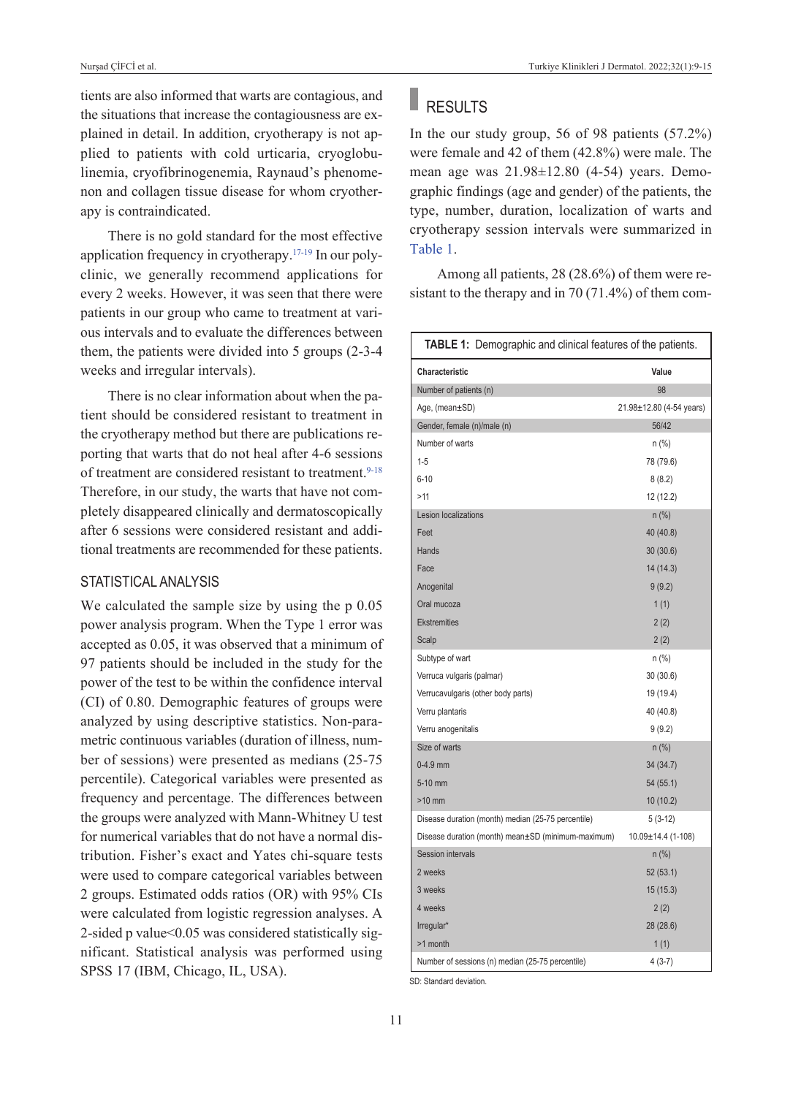tients are also informed that warts are contagious, and the situations that increase the contagiousness are explained in detail. In addition, cryotherapy is not applied to patients with cold urticaria, cryoglobulinemia, cryofibrinogenemia, Raynaud's phenomenon and collagen tissue disease for whom cryotherapy is contraindicated.

There is no gold standard for the most effective application frequency in cryotherapy[.17-19](#page-6-0) In our polyclinic, we generally recommend applications for every 2 weeks. However, it was seen that there were patients in our group who came to treatment at various intervals and to evaluate the differences between them, the patients were divided into 5 groups (2-3-4 weeks and irregular intervals).

There is no clear information about when the patient should be considered resistant to treatment in the cryotherapy method but there are publications reporting that warts that do not heal after 4-6 sessions of treatment are considered resistant to treatment.<sup>9-18</sup> Therefore, in our study, the warts that have not completely disappeared clinically and dermatoscopically after 6 sessions were considered resistant and additional treatments are recommended for these patients.

### STATISTICAL ANALYSIS

We calculated the sample size by using the p 0.05 power analysis program. When the Type 1 error was accepted as 0.05, it was observed that a minimum of 97 patients should be included in the study for the power of the test to be within the confidence interval (CI) of 0.80. Demographic features of groups were analyzed by using descriptive statistics. Non-parametric continuous variables (duration of illness, number of sessions) were presented as medians (25-75 percentile). Categorical variables were presented as frequency and percentage. The differences between the groups were analyzed with Mann-Whitney U test for numerical variables that do not have a normal distribution. Fisher's exact and Yates chi-square tests were used to compare categorical variables between 2 groups. Estimated odds ratios (OR) with 95% CIs were calculated from logistic regression analyses. A 2-sided p value<0.05 was considered statistically significant. Statistical analysis was performed using SPSS 17 (IBM, Chicago, IL, USA).

# RESULTS

In the our study group, 56 of 98 patients (57.2%) were female and 42 of them (42.8%) were male. The mean age was 21.98±12.80 (4-54) years. Demographic findings (age and gender) of the patients, the type, number, duration, localization of warts and cryotherapy session intervals were summarized in [Table 1.](#page-2-0)

Among all patients, 28 (28.6%) of them were resistant to the therapy and in 70 (71.4%) of them com-

<span id="page-2-0"></span>

| TABLE 1: Demographic and clinical features of the patients. |                          |  |
|-------------------------------------------------------------|--------------------------|--|
| Characteristic                                              | Value                    |  |
| Number of patients (n)                                      | 98                       |  |
| Age, (mean±SD)                                              | 21.98±12.80 (4-54 years) |  |
| Gender, female (n)/male (n)                                 | 56/42                    |  |
| Number of warts                                             | n (%)                    |  |
| $1 - 5$                                                     | 78 (79.6)                |  |
| $6 - 10$                                                    | 8(8.2)                   |  |
| >11                                                         | 12 (12.2)                |  |
| Lesion localizations                                        | n (%)                    |  |
| Feet                                                        | 40 (40.8)                |  |
| Hands                                                       | 30 (30.6)                |  |
| Face                                                        | 14 (14.3)                |  |
| Anogenital                                                  | 9(9.2)                   |  |
| Oral mucoza                                                 | 1(1)                     |  |
| <b>Ekstremities</b>                                         | 2(2)                     |  |
| Scalp                                                       | 2(2)                     |  |
| Subtype of wart                                             | n (%)                    |  |
| Verruca vulgaris (palmar)                                   | 30(30.6)                 |  |
| Verrucavulgaris (other body parts)                          | 19 (19.4)                |  |
| Verru plantaris                                             | 40 (40.8)                |  |
| Verru anogenitalis                                          | 9(9.2)                   |  |
| Size of warts                                               | $n$ (%)                  |  |
| $0-4.9$ mm                                                  | 34 (34.7)                |  |
| 5-10 mm                                                     | 54(55.1)                 |  |
| $>10$ mm                                                    | 10(10.2)                 |  |
| Disease duration (month) median (25-75 percentile)          | $5(3-12)$                |  |
| Disease duration (month) mean±SD (minimum-maximum)          | 10.09±14.4 (1-108)       |  |
| Session intervals                                           | n (%)                    |  |
| 2 weeks                                                     | 52(53.1)                 |  |
| 3 weeks                                                     | 15 (15.3)                |  |
| 4 weeks                                                     | 2(2)                     |  |
| Irregular*                                                  | 28 (28.6)                |  |
| >1 month                                                    | 1(1)                     |  |
| Number of sessions (n) median (25-75 percentile)            | $4(3-7)$                 |  |

SD: Standard deviation.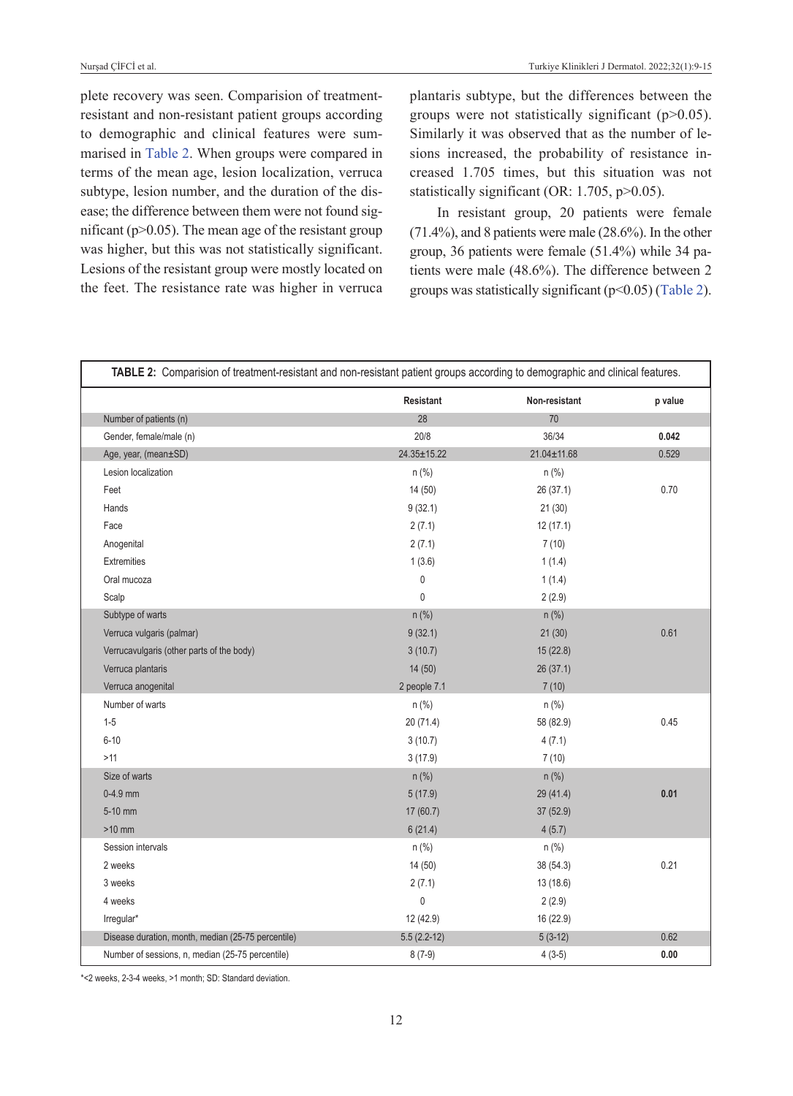plete recovery was seen. Comparision of treatmentresistant and non-resistant patient groups according to demographic and clinical features were summarised in [Table 2.](#page-3-0) When groups were compared in terms of the mean age, lesion localization, verruca subtype, lesion number, and the duration of the disease; the difference between them were not found significant ( $p$  $>$ 0.05). The mean age of the resistant group was higher, but this was not statistically significant. Lesions of the resistant group were mostly located on the feet. The resistance rate was higher in verruca plantaris subtype, but the differences between the groups were not statistically significant  $(p>0.05)$ . Similarly it was observed that as the number of lesions increased, the probability of resistance increased 1.705 times, but this situation was not statistically significant (OR: 1.705, p>0.05).

<span id="page-3-0"></span>In resistant group, 20 patients were female (71.4%), and 8 patients were male (28.6%). In the other group, 36 patients were female (51.4%) while 34 patients were male (48.6%). The difference between 2 groups was statistically significant  $(p<0.05)$  [\(Table 2\)](#page-3-0).

| Number of patients (n)<br>Gender, female/male (n)  | 28            |                   | p value |
|----------------------------------------------------|---------------|-------------------|---------|
|                                                    |               | 70                |         |
|                                                    | 20/8          | 36/34             | 0.042   |
| Age, year, (mean±SD)                               | 24.35±15.22   | $21.04 \pm 11.68$ | 0.529   |
| Lesion localization                                | $n$ (%)       | $n$ (%)           |         |
| Feet                                               | 14(50)        | 26 (37.1)         | 0.70    |
| Hands                                              | 9(32.1)       | 21(30)            |         |
| Face                                               | 2(7.1)        | 12(17.1)          |         |
| Anogenital                                         | 2(7.1)        | 7(10)             |         |
| Extremities                                        | 1(3.6)        | 1(1.4)            |         |
| Oral mucoza                                        | $\pmb{0}$     | 1(1.4)            |         |
| Scalp                                              | $\mathbf 0$   | 2(2.9)            |         |
| Subtype of warts                                   | $n$ (%)       | $n$ (%)           |         |
| Verruca vulgaris (palmar)                          | 9(32.1)       | 21(30)            | 0.61    |
| Verrucavulgaris (other parts of the body)          | 3(10.7)       | 15(22.8)          |         |
| Verruca plantaris                                  | 14(50)        | 26(37.1)          |         |
| Verruca anogenital                                 | 2 people 7.1  | 7(10)             |         |
| Number of warts                                    | $n$ (%)       | $n$ (%)           |         |
| $1 - 5$                                            | 20(71.4)      | 58 (82.9)         | 0.45    |
| $6 - 10$                                           | 3(10.7)       | 4(7.1)            |         |
| >11                                                | 3(17.9)       | 7(10)             |         |
| Size of warts                                      | $n$ (%)       | $n$ (%)           |         |
| $0-4.9$ mm                                         | 5(17.9)       | 29 (41.4)         | 0.01    |
| 5-10 mm                                            | 17 (60.7)     | 37 (52.9)         |         |
| $>10$ mm                                           | 6(21.4)       | 4(5.7)            |         |
| Session intervals                                  | $n$ (%)       | $n$ (%)           |         |
| 2 weeks                                            | 14 (50)       | 38 (54.3)         | 0.21    |
| 3 weeks                                            | 2(7.1)        | 13(18.6)          |         |
| 4 weeks                                            | $\mathbf 0$   | 2(2.9)            |         |
| Irregular*                                         | 12 (42.9)     | 16 (22.9)         |         |
| Disease duration, month, median (25-75 percentile) | $5.5(2.2-12)$ | $5(3-12)$         | 0.62    |

\*<2 weeks, 2-3-4 weeks, >1 month; SD: Standard deviation.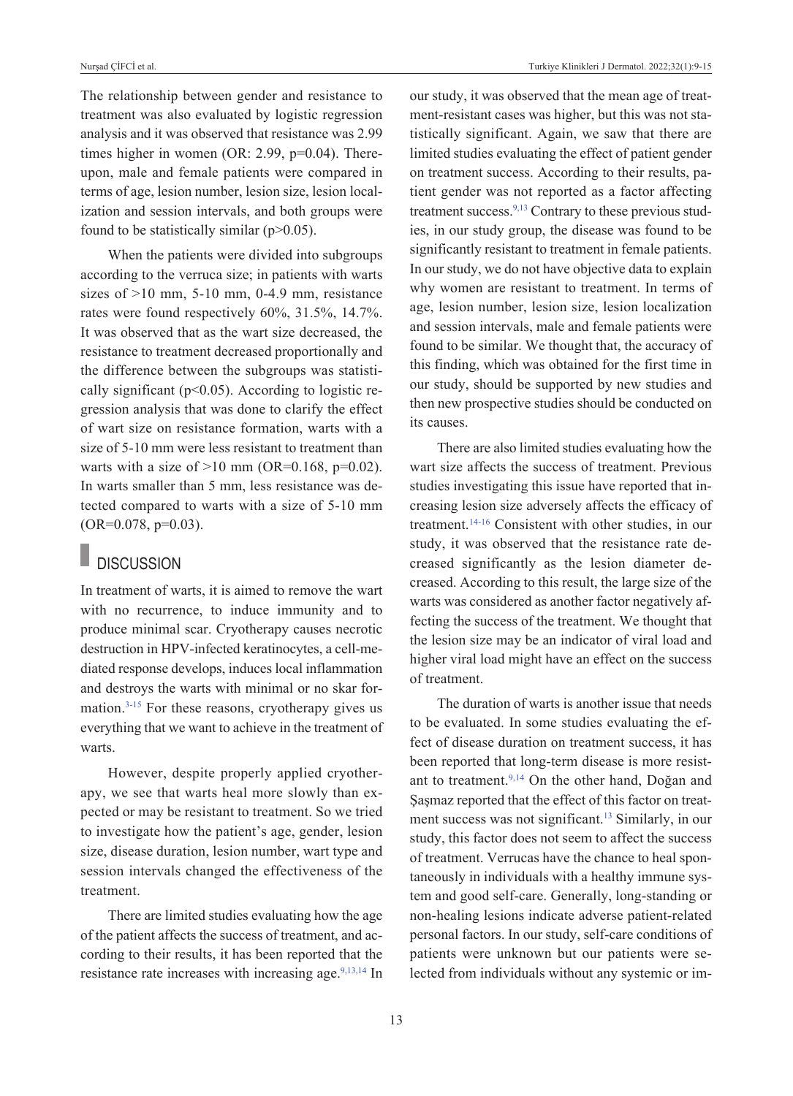The relationship between gender and resistance to treatment was also evaluated by logistic regression analysis and it was observed that resistance was 2.99 times higher in women (OR: 2.99, p=0.04). Thereupon, male and female patients were compared in terms of age, lesion number, lesion size, lesion localization and session intervals, and both groups were found to be statistically similar  $(p>0.05)$ .

When the patients were divided into subgroups according to the verruca size; in patients with warts sizes of  $>10$  mm,  $5-10$  mm,  $0-4.9$  mm, resistance rates were found respectively 60%, 31.5%, 14.7%. It was observed that as the wart size decreased, the resistance to treatment decreased proportionally and the difference between the subgroups was statistically significant ( $p$ <0.05). According to logistic regression analysis that was done to clarify the effect of wart size on resistance formation, warts with a size of 5-10 mm were less resistant to treatment than warts with a size of  $>10$  mm (OR=0.168, p=0.02). In warts smaller than 5 mm, less resistance was detected compared to warts with a size of 5-10 mm  $(OR=0.078, p=0.03)$ .

# **DISCUSSION**

In treatment of warts, it is aimed to remove the wart with no recurrence, to induce immunity and to produce minimal scar. Cryotherapy causes necrotic destruction in HPV-infected keratinocytes, a cell-mediated response develops, induces local inflammation and destroys the warts with minimal or no skar formation[.3-15](#page-6-0) For these reasons, cryotherapy gives us everything that we want to achieve in the treatment of warts.

However, despite properly applied cryotherapy, we see that warts heal more slowly than expected or may be resistant to treatment. So we tried to investigate how the patient's age, gender, lesion size, disease duration, lesion number, wart type and session intervals changed the effectiveness of the treatment.

There are limited studies evaluating how the age of the patient affects the success of treatment, and according to their results, it has been reported that the resistance rate increases with increasing age.<sup>9,13,14</sup> In our study, it was observed that the mean age of treatment-resistant cases was higher, but this was not statistically significant. Again, we saw that there are limited studies evaluating the effect of patient gender on treatment success. According to their results, patient gender was not reported as a factor affecting treatment success.<sup>9,13</sup> Contrary to these previous studies, in our study group, the disease was found to be significantly resistant to treatment in female patients. In our study, we do not have objective data to explain why women are resistant to treatment. In terms of age, lesion number, lesion size, lesion localization and session intervals, male and female patients were found to be similar. We thought that, the accuracy of this finding, which was obtained for the first time in our study, should be supported by new studies and then new prospective studies should be conducted on its causes.

There are also limited studies evaluating how the wart size affects the success of treatment. Previous studies investigating this issue have reported that increasing lesion size adversely affects the efficacy of treatment[.14-16](#page-6-0) Consistent with other studies, in our study, it was observed that the resistance rate decreased significantly as the lesion diameter decreased. According to this result, the large size of the warts was considered as another factor negatively affecting the success of the treatment. We thought that the lesion size may be an indicator of viral load and higher viral load might have an effect on the success of treatment.

The duration of warts is another issue that needs to be evaluated. In some studies evaluating the effect of disease duration on treatment success, it has been reported that long-term disease is more resistant to treatment[.9,14](#page-6-0) On the other hand, Doğan and Şaşmaz reported that the effect of this factor on treatment success was not significant[.13](#page-6-0) Similarly, in our study, this factor does not seem to affect the success of treatment. Verrucas have the chance to heal spontaneously in individuals with a healthy immune system and good self-care. Generally, long-standing or non-healing lesions indicate adverse patient-related personal factors. In our study, self-care conditions of patients were unknown but our patients were selected from individuals without any systemic or im-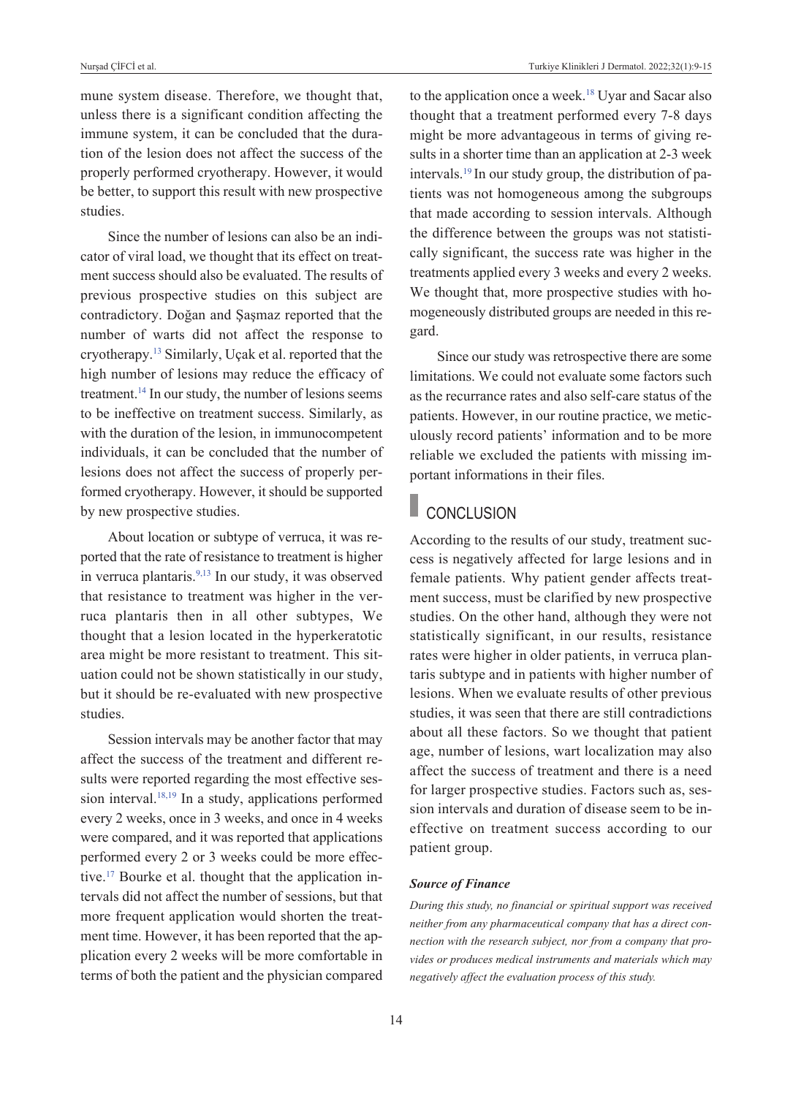mune system disease. Therefore, we thought that, unless there is a significant condition affecting the immune system, it can be concluded that the duration of the lesion does not affect the success of the properly performed cryotherapy. However, it would be better, to support this result with new prospective studies.

Since the number of lesions can also be an indicator of viral load, we thought that its effect on treatment success should also be evaluated. The results of previous prospective studies on this subject are contradictory. Doğan and Şaşmaz reported that the number of warts did not affect the response to cryotherapy[.13](#page-6-0) Similarly, Uçak et al. reported that the high number of lesions may reduce the efficacy of treatment.<sup>14</sup> In our study, the number of lesions seems to be ineffective on treatment success. Similarly, as with the duration of the lesion, in immunocompetent individuals, it can be concluded that the number of lesions does not affect the success of properly performed cryotherapy. However, it should be supported by new prospective studies.

About location or subtype of verruca, it was reported that the rate of resistance to treatment is higher in verruca plantaris[.9,13](#page-6-0) In our study, it was observed that resistance to treatment was higher in the verruca plantaris then in all other subtypes, We thought that a lesion located in the hyperkeratotic area might be more resistant to treatment. This situation could not be shown statistically in our study, but it should be re-evaluated with new prospective studies.

Session intervals may be another factor that may affect the success of the treatment and different results were reported regarding the most effective session interval.<sup>18,19</sup> In a study, applications performed every 2 weeks, once in 3 weeks, and once in 4 weeks were compared, and it was reported that applications performed every 2 or 3 weeks could be more effective[.17](#page-6-0) Bourke et al. thought that the application intervals did not affect the number of sessions, but that more frequent application would shorten the treatment time. However, it has been reported that the application every 2 weeks will be more comfortable in terms of both the patient and the physician compared to the application once a week[.18](#page-6-0) Uyar and Sacar also thought that a treatment performed every 7-8 days might be more advantageous in terms of giving results in a shorter time than an application at 2-3 week intervals[.19](#page-6-0) In our study group, the distribution of patients was not homogeneous among the subgroups that made according to session intervals. Although the difference between the groups was not statistically significant, the success rate was higher in the treatments applied every 3 weeks and every 2 weeks. We thought that, more prospective studies with homogeneously distributed groups are needed in this regard.

Since our study was retrospective there are some limitations. We could not evaluate some factors such as the recurrance rates and also self-care status of the patients. However, in our routine practice, we meticulously record patients' information and to be more reliable we excluded the patients with missing important informations in their files.

#### ı **CONCLUSION**

According to the results of our study, treatment success is negatively affected for large lesions and in female patients. Why patient gender affects treatment success, must be clarified by new prospective studies. On the other hand, although they were not statistically significant, in our results, resistance rates were higher in older patients, in verruca plantaris subtype and in patients with higher number of lesions. When we evaluate results of other previous studies, it was seen that there are still contradictions about all these factors. So we thought that patient age, number of lesions, wart localization may also affect the success of treatment and there is a need for larger prospective studies. Factors such as, session intervals and duration of disease seem to be ineffective on treatment success according to our patient group.

### *Source of Finance*

*During this study, no financial or spiritual support was received neither from any pharmaceutical company that has a direct connection with the research subject, nor from a company that provides or produces medical instruments and materials which may negatively affect the evaluation process of this study.*